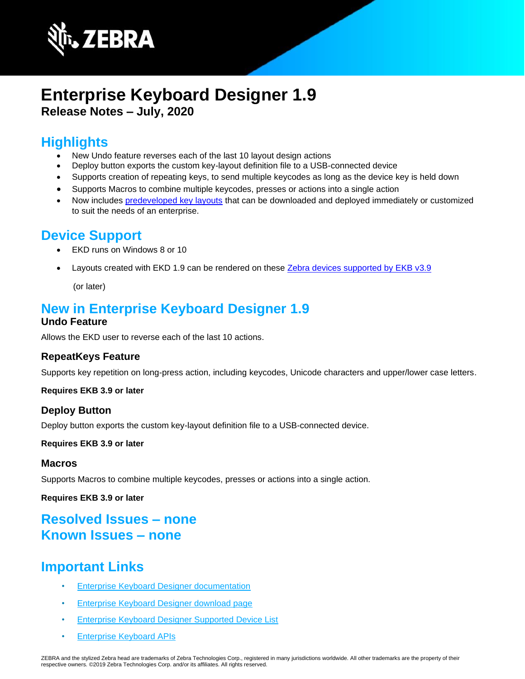

# **Enterprise Keyboard Designer 1.9 Release Notes – July, 2020**

### **Highlights**

- New Undo feature reverses each of the last 10 layout design actions
- Deploy button exports the custom key-layout definition file to a USB-connected device
- Supports creation of repeating keys, to send multiple keycodes as long as the device key is held down
- Supports Macros to combine multiple keycodes, presses or actions into a single action
- Now includes [predeveloped key layouts](https://techdocs.zebra.com/ekd/1-9/samples/) that can be downloaded and deployed immediately or customized to suit the needs of an enterprise.

### **Device Support**

- EKD runs on Windows 8 or 10
- Layouts created with EKD 1.9 can be rendered on these Zebra devices supported by EKB v3.9

(or later)

## **New in Enterprise Keyboard Designer 1.9**

### **Undo Feature**

Allows the EKD user to reverse each of the last 10 actions.

### **RepeatKeys Feature**

Supports key repetition on long-press action, including keycodes, Unicode characters and upper/lower case letters.

#### **Requires EKB 3.9 or later**

### **Deploy Button**

Deploy button exports the custom key-layout definition file to a USB-connected device.

#### **Requires EKB 3.9 or later**

#### **Macros**

Supports Macros to combine multiple keycodes, presses or actions into a single action.

**Requires EKB 3.9 or later**

### **Resolved Issues – none Known Issues – none**

## **Important Links**

- [Enterprise Keyboard Designer documentation](http://techdocs.zebra.com/ekd/1-9/guide/about/)
- [Enterprise Keyboard Designer download page](https://www.zebra.com/us/en/support-downloads/software/productivity-apps/enterprise-keyboard-designer.html)
- [Enterprise Keyboard Designer Supported Device List](https://www.zebra.com/us/en/support-downloads/software/productivity-apps/enterprise-keyboard.html)
- [Enterprise Keyboard APIs](https://techdocs.zebra.com/enterprise-keyboard/3-9/guide/apis/)